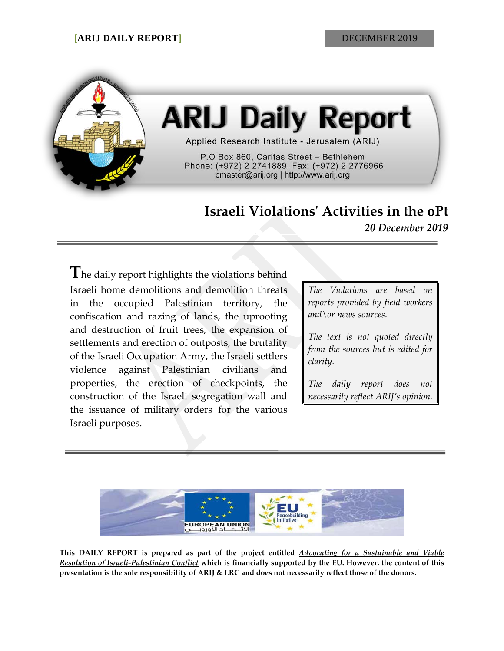

# **ARIJ Daily Report**

Applied Research Institute - Jerusalem (ARIJ)

P.O Box 860, Caritas Street - Bethlehem Phone: (+972) 2 2741889, Fax: (+972) 2 2776966 pmaster@arij.org | http://www.arij.org

## **Israeli Violations' Activities in the oPt**

*20 December 2019*

**T**he daily report highlights the violations behind Israeli home demolitions and demolition threats in the occupied Palestinian territory, the confiscation and razing of lands, the uprooting and destruction of fruit trees, the expansion of settlements and erection of outposts, the brutality of the Israeli Occupation Army, the Israeli settlers violence against Palestinian civilians and properties, the erection of checkpoints, the construction of the Israeli segregation wall and the issuance of military orders for the various Israeli purposes.

*The Violations are based on reports provided by field workers and\or news sources.*

*The text is not quoted directly from the sources but is edited for clarity.*

*The daily report does not necessarily reflect ARIJ's opinion.*



**This DAILY REPORT is prepared as part of the project entitled** *Advocating for a Sustainable and Viable Resolution of Israeli-Palestinian Conflict* **which is financially supported by the EU. However, the content of this presentation is the sole responsibility of ARIJ & LRC and does not necessarily reflect those of the donors.**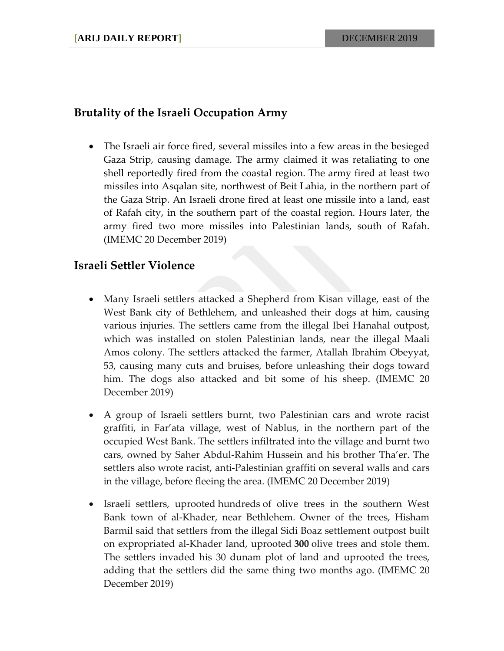### **Brutality of the Israeli Occupation Army**

• The Israeli air force fired, several missiles into a few areas in the besieged Gaza Strip, causing damage. The army claimed it was retaliating to one shell reportedly fired from the coastal region. The army fired at least two missiles into Asqalan site, northwest of Beit Lahia, in the northern part of the Gaza Strip. An Israeli drone fired at least one missile into a land, east of Rafah city, in the southern part of the coastal region. Hours later, the army fired two more missiles into Palestinian lands, south of Rafah. (IMEMC 20 December 2019)

#### **Israeli Settler Violence**

- Many Israeli settlers attacked a Shepherd from Kisan village, east of the West Bank city of Bethlehem, and unleashed their dogs at him, causing various injuries. The settlers came from the illegal Ibei Hanahal outpost, which was installed on stolen Palestinian lands, near the illegal Maali Amos colony. The settlers attacked the farmer, Atallah Ibrahim Obeyyat, 53, causing many cuts and bruises, before unleashing their dogs toward him. The dogs also attacked and bit some of his sheep. (IMEMC 20 December 2019)
- A group of Israeli settlers burnt, two Palestinian cars and wrote racist graffiti, in Far'ata village, west of Nablus, in the northern part of the occupied West Bank. The settlers infiltrated into the village and burnt two cars, owned by Saher Abdul-Rahim Hussein and his brother Tha'er. The settlers also wrote racist, anti-Palestinian graffiti on several walls and cars in the village, before fleeing the area. (IMEMC 20 December 2019)
- Israeli settlers, uprooted hundreds of olive trees in the southern West Bank town of al-Khader, near Bethlehem. Owner of the trees, Hisham Barmil said that settlers from the illegal Sidi Boaz settlement outpost built on expropriated al-Khader land, uprooted **300** olive trees and stole them. The settlers invaded his 30 dunam plot of land and uprooted the trees, adding that the settlers did the same thing two months ago. (IMEMC 20 December 2019)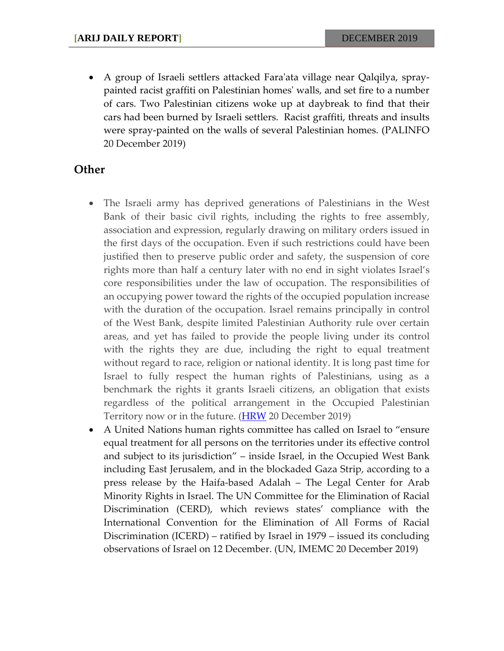• A group of Israeli settlers attacked Fara'ata village near Qalqilya, spraypainted racist graffiti on Palestinian homes' walls, and set fire to a number of cars. Two Palestinian citizens woke up at daybreak to find that their cars had been burned by Israeli settlers. Racist graffiti, threats and insults were spray-painted on the walls of several Palestinian homes. (PALINFO 20 December 2019)

#### **Other**

- The Israeli army has deprived generations of Palestinians in the West Bank of their basic civil rights, including the rights to free assembly, association and expression, regularly drawing on military orders issued in the first days of the occupation. Even if such restrictions could have been justified then to preserve public order and safety, the suspension of core rights more than half a century later with no end in sight violates Israel's core responsibilities under the law of occupation. The responsibilities of an occupying power toward the rights of the occupied population increase with the duration of the occupation. Israel remains principally in control of the West Bank, despite limited Palestinian Authority rule over certain areas, and yet has failed to provide the people living under its control with the rights they are due, including the right to equal treatment without regard to race, religion or national identity. It is long past time for Israel to fully respect the human rights of Palestinians, using as a benchmark the rights it grants Israeli citizens, an obligation that exists regardless of the political arrangement in the Occupied Palestinian Territory now or in the future. [\(HRW](https://www.hrw.org/report/2019/12/17/born-without-civil-rights/israels-use-draconian-military-orders-repress) 20 December 2019)
- A United Nations human rights committee has called on Israel to "ensure equal treatment for all persons on the territories under its effective control and subject to its jurisdiction" – inside Israel, in the Occupied West Bank including East Jerusalem, and in the blockaded Gaza Strip, according to a press release by the Haifa-based Adalah – The Legal Center for Arab Minority Rights in Israel. The UN Committee for the Elimination of Racial Discrimination (CERD), which reviews states' compliance with the International Convention for the Elimination of All Forms of Racial Discrimination (ICERD) – ratified by Israel in 1979 – issued its concluding observations of Israel on 12 December. (UN, IMEMC 20 December 2019)